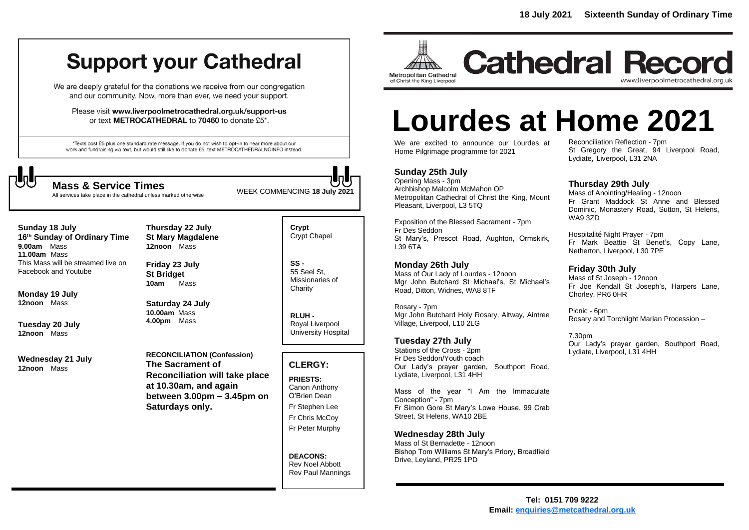## **Support your Cathedral**

We are deeply grateful for the donations we receive from our congregation and our community. Now, more than ever, we need your support.

Please visit www.liverpoolmetrocathedral.org.uk/support-us or text METROCATHEDRAL to 70460 to donate £5\*.

\*Texts cost £5 plus one standard rate message. If you do not wish to opt-in to hear more about our work and fundraising via text, but would still like to donate £5, text METROCATHEDRALNOINFO instead.



All services take place in the cathedral unless marked otherwise

WEEK COMMENCING **<sup>18</sup> July <sup>2021</sup> Mass & Service Times**

**Sunday 18 July 16 th Sunday of Ordinary Time 9.00am** Mass **11.00am** Mass This Mass will be streamed live on Facebook and Youtube

**Monday 19 July 12noon** Mass

**Tuesday 20 July 12noon** Mass

**Wednesday 21 July 12noon** Mass

**Thursday 22 July St Mary Magdalene 12noon** Mass

**Friday 23 July St Bridget 10am** Mass

**Saturday 24 July 10.00am** Mass **4.00pm** Mass

**RECONCILIATION (Confession) The Sacrament of Reconciliation will take place at 10.30am, and again between 3.00pm – 3.45pm on Saturdays only.**

**Crypt**  Crypt Chapel

**SS -** 55 Seel St, Missionaries of **Charity** 

**RLUH -** Royal Liverpool University Hospital

#### **CLERGY:**

**PRIESTS:** Canon Anthony O'Brien *Dean* Fr Stephen Lee Fr Chris McCoy Fr Peter Murphy

**DEACONS:** Rev Noel Abbott Rev Paul Mannings



**Cathedral Record** www.liverpoolmetrocathedral.org.uk

# **Lourdes at Home 2021**

We are excited to announce our Lourdes at Home Pilgrimage programme for 2021

#### **Sunday 25th July**

Opening Mass - 3pm Archbishop Malcolm McMahon OP Metropolitan Cathedral of Christ the King, Mount Pleasant, Liverpool, L3 5TQ

Exposition of the Blessed Sacrament - 7pm Fr Des Seddon St Mary's, Prescot Road, Aughton, Ormskirk, L39 6TA

#### **Monday 26th July**

Mass of Our Lady of Lourdes - 12noon Mgr John Butchard St Michael's, St Michael's Road, Ditton, Widnes, WA8 8TF

Rosary - 7pm Mgr John Butchard Holy Rosary, Altway, Aintree Village, Liverpool, L10 2LG

#### **Tuesday 27th July**

Stations of the Cross - 2pm Fr Des Seddon/Youth coach Our Lady's prayer garden, Southport Road, Lydiate, Liverpool, L31 4HH

Mass of the year "I Am the Immaculate Conception" - 7pm Fr Simon Gore St Mary's Lowe House, 99 Crab Street, St Helens, WA10 2BE

#### **Wednesday 28th July**

Mass of St Bernadette - 12noon Bishop Tom Williams St Mary's Priory, Broadfield Drive, Leyland, PR25 1PD

Reconciliation Reflection - 7pm St Gregory the Great, 94 Liverpool Road, Lydiate, Liverpool, L31 2NA

#### **Thursday 29th July**

Mass of Anointing/Healing - 12noon Fr Grant Maddock St Anne and Blessed Dominic, Monastery Road, Sutton, St Helens, WA9 3ZD

Hospitalité Night Prayer - 7pm Fr Mark Beattie St Benet's, Copy Lane, Netherton, Liverpool, L30 7PE

#### **Friday 30th July**

Mass of St Joseph - 12noon Fr Joe Kendall St Joseph's, Harpers Lane, Chorley, PR6 0HR

Picnic - 6pm Rosary and Torchlight Marian Procession –

7.30pm Our Lady's prayer garden, Southport Road, Lydiate, Liverpool, L31 4HH